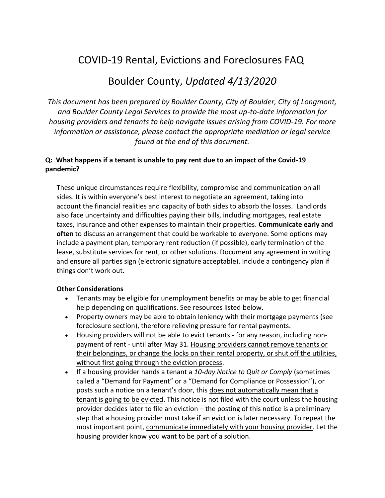# COVID-19 Rental, Evictions and Foreclosures FAQ

## Boulder County, *Updated 4/13/2020*

*This document has been prepared by Boulder County, City of Boulder, City of Longmont, and Boulder County Legal Services to provide the most up-to-date information for housing providers and tenants to help navigate issues arising from COVID-19. For more information or assistance, please contact the appropriate mediation or legal service found at the end of this document.*

## **Q: What happens if a tenant is unable to pay rent due to an impact of the Covid-19 pandemic?**

These unique circumstances require flexibility, compromise and communication on all sides. It is within everyone's best interest to negotiate an agreement, taking into account the financial realities and capacity of both sides to absorb the losses. Landlords also face uncertainty and difficulties paying their bills, including mortgages, real estate taxes, insurance and other expenses to maintain their properties. **Communicate early and often** to discuss an arrangement that could be workable to everyone. Some options may include a payment plan, temporary rent reduction (if possible), early termination of the lease, substitute services for rent, or other solutions. Document any agreement in writing and ensure all parties sign (electronic signature acceptable). Include a contingency plan if things don't work out.

#### **Other Considerations**

- Tenants may be eligible for unemployment benefits or may be able to get financial help depending on qualifications. See resources listed below.
- Property owners may be able to obtain leniency with their mortgage payments (see foreclosure section), therefore relieving pressure for rental payments.
- Housing providers will not be able to evict tenants for any reason, including nonpayment of rent - until after May 31. Housing providers cannot remove tenants or their belongings, or change the locks on their rental property, or shut off the utilities, without first going through the eviction process.
- If a housing provider hands a tenant a *10-day Notice to Quit or Comply* (sometimes called a "Demand for Payment" or a "Demand for Compliance or Possession"), or posts such a notice on a tenant's door, this does not automatically mean that a tenant is going to be evicted. This notice is not filed with the court unless the housing provider decides later to file an eviction – the posting of this notice is a preliminary step that a housing provider must take if an eviction is later necessary. To repeat the most important point, communicate immediately with your housing provider. Let the housing provider know you want to be part of a solution.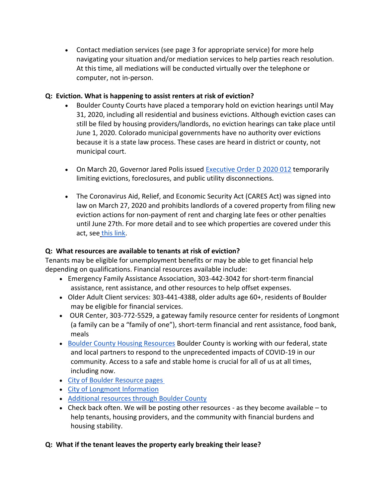• Contact mediation services (see page 3 for appropriate service) for more help navigating your situation and/or mediation services to help parties reach resolution. At this time, all mediations will be conducted virtually over the telephone or computer, not in-person.

#### **Q: Eviction. What is happening to assist renters at risk of eviction?**

- Boulder County Courts have placed a temporary hold on eviction hearings until May 31, 2020, including all residential and business evictions. Although eviction cases can still be filed by housing providers/landlords, no eviction hearings can take place until June 1, 2020. Colorado municipal governments have no authority over evictions because it is a state law process. These cases are heard in district or county, not municipal court.
- On March 20, Governor Jared Polis issued [Executive Order D 2020 012](https://drive.google.com/file/d/1mMCRLb6PxMPI680_THFn4nqLGAty1jq9/view) temporarily limiting evictions, foreclosures, and public utility disconnections.
- The Coronavirus Aid, Relief, and Economic Security Act (CARES Act) was signed into law on March 27, 2020 and prohibits landlords of a covered property from filing new eviction actions for non-payment of rent and charging late fees or other penalties until June 27th. For more detail and to see which properties are covered under this act, see [this link.](https://www.nhlp.org/wp-content/uploads/2020.03.27-NHLP-CARES-Act-Eviction-Moratorium-Summary.pdf)

#### **Q: What resources are available to tenants at risk of eviction?**

Tenants may be eligible for unemployment benefits or may be able to get financial help depending on qualifications. Financial resources available include:

- Emergency Family Assistance Association, 303-442-3042 for short-term financial assistance, rent assistance, and other resources to help offset expenses.
- Older Adult Client services: 303-441-4388, older adults age 60+, residents of Boulder may be eligible for financial services.
- OUR Center, 303-772-5529, a gateway family resource center for residents of Longmont (a family can be a "family of one"), short-term financial and rent assistance, food bank, meals
- [Boulder County Housing Resources](http://www.boco.org/COVID-19Housing) Boulder County is working with our federal, state and local partners to respond to the unprecedented impacts of COVID-19 in our community. Access to a safe and stable home is crucial for all of us at all times, including now.
- [City of Boulder Resource pages](https://bouldercolorado.gov/links/fetch/48239)
- [City of Longmont Information](https://www.longmontcolorado.gov/departments/departments-n-z/public-information/coronavirus-disease-2019-information)
- [Additional resources through Boulder County](http://www.boco.org/COVID-19Resources)
- Check back often. We will be posting other resources as they become available  $-$  to help tenants, housing providers, and the community with financial burdens and housing stability.

#### **Q: What if the tenant leaves the property early breaking their lease?**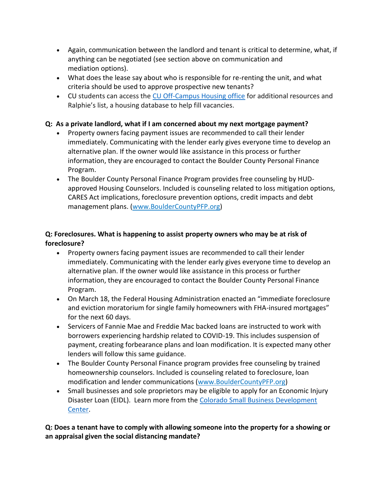- Again, communication between the landlord and tenant is critical to determine, what, if anything can be negotiated (see section above on communication and mediation options).
- What does the lease say about who is responsible for re-renting the unit, and what criteria should be used to approve prospective new tenants?
- CU students can access the [CU Off-Campus Housing office](https://www.colorado.edu/offcampus/) for additional resources and Ralphie's list, a housing database to help fill vacancies.

## **Q: As a private landlord, what if I am concerned about my next mortgage payment?**

- Property owners facing payment issues are recommended to call their lender immediately. Communicating with the lender early gives everyone time to develop an alternative plan. If the owner would like assistance in this process or further information, they are encouraged to contact the Boulder County Personal Finance Program.
- The Boulder County Personal Finance Program provides free counseling by HUDapproved Housing Counselors. Included is counseling related to loss mitigation options, CARES Act implications, foreclosure prevention options, credit impacts and debt management plans. [\(www.BoulderCountyPFP.org\)](http://www.bouldercountypfp.org/)

## **Q: Foreclosures. What is happening to assist property owners who may be at risk of foreclosure?**

- Property owners facing payment issues are recommended to call their lender immediately. Communicating with the lender early gives everyone time to develop an alternative plan. If the owner would like assistance in this process or further information, they are encouraged to contact the Boulder County Personal Finance Program.
- On March 18, the Federal Housing Administration enacted an "immediate foreclosure and eviction moratorium for single family homeowners with FHA-insured mortgages" for the next 60 days.
- Servicers of Fannie Mae and Freddie Mac backed loans are instructed to work with borrowers experiencing hardship related to COVID-19. This includes suspension of payment, creating forbearance plans and loan modification. It is expected many other lenders will follow this same guidance.
- The Boulder County Personal Finance program provides free counseling by trained homeownership counselors. Included is counseling related to foreclosure, loan modification and lender communications [\(www.BoulderCountyPFP.org\)](http://www.bouldercountypfp.org/)
- Small businesses and sole proprietors may be eligible to apply for an Economic Injury Disaster Loan (EIDL). Learn more from the Colorado Small Business Development [Center.](https://www.coloradosbdc.org/covid/)

## **Q: Does a tenant have to comply with allowing someone into the property for a showing or an appraisal given the social distancing mandate?**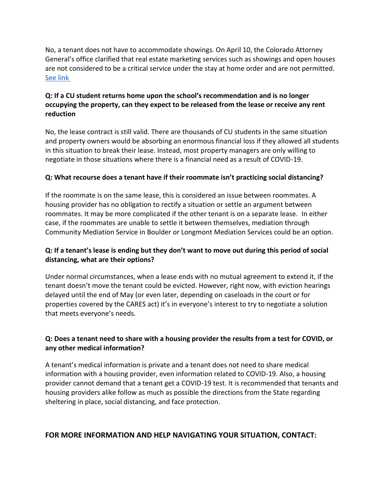No, a tenant does not have to accommodate showings. On April 10, the Colorado Attorney General's office clarified that real estate marketing services such as showings and open houses are not considered to be a critical service under the stay at home order and are not permitted. [See link](https://wp-cpr.s3.amazonaws.com/uploads/2020/04/Notice-to-Mr.-Frank-Zieg-re-Broker-Non-Compliance-03-31-2020.pdf)

## **Q: If a CU student returns home upon the school's recommendation and is no longer occupying the property, can they expect to be released from the lease or receive any rent reduction**

No, the lease contract is still valid. There are thousands of CU students in the same situation and property owners would be absorbing an enormous financial loss if they allowed all students in this situation to break their lease. Instead, most property managers are only willing to negotiate in those situations where there is a financial need as a result of COVID-19.

#### **Q: What recourse does a tenant have if their roommate isn't practicing social distancing?**

If the roommate is on the same lease, this is considered an issue between roommates. A housing provider has no obligation to rectify a situation or settle an argument between roommates. It may be more complicated if the other tenant is on a separate lease. In either case, if the roommates are unable to settle it between themselves, mediation through Community Mediation Service in Boulder or Longmont Mediation Services could be an option.

## **Q: If a tenant's lease is ending but they don't want to move out during this period of social distancing, what are their options?**

Under normal circumstances, when a lease ends with no mutual agreement to extend it, if the tenant doesn't move the tenant could be evicted. However, right now, with eviction hearings delayed until the end of May (or even later, depending on caseloads in the court or for properties covered by the CARES act) it's in everyone's interest to try to negotiate a solution that meets everyone's needs.

#### **Q: Does a tenant need to share with a housing provider the results from a test for COVID, or any other medical information?**

A tenant's medical information is private and a tenant does not need to share medical information with a housing provider, even information related to COVID-19. Also, a housing provider cannot demand that a tenant get a COVID-19 test. It is recommended that tenants and housing providers alike follow as much as possible the directions from the State regarding sheltering in place, social distancing, and face protection.

#### **FOR MORE INFORMATION AND HELP NAVIGATING YOUR SITUATION, CONTACT:**